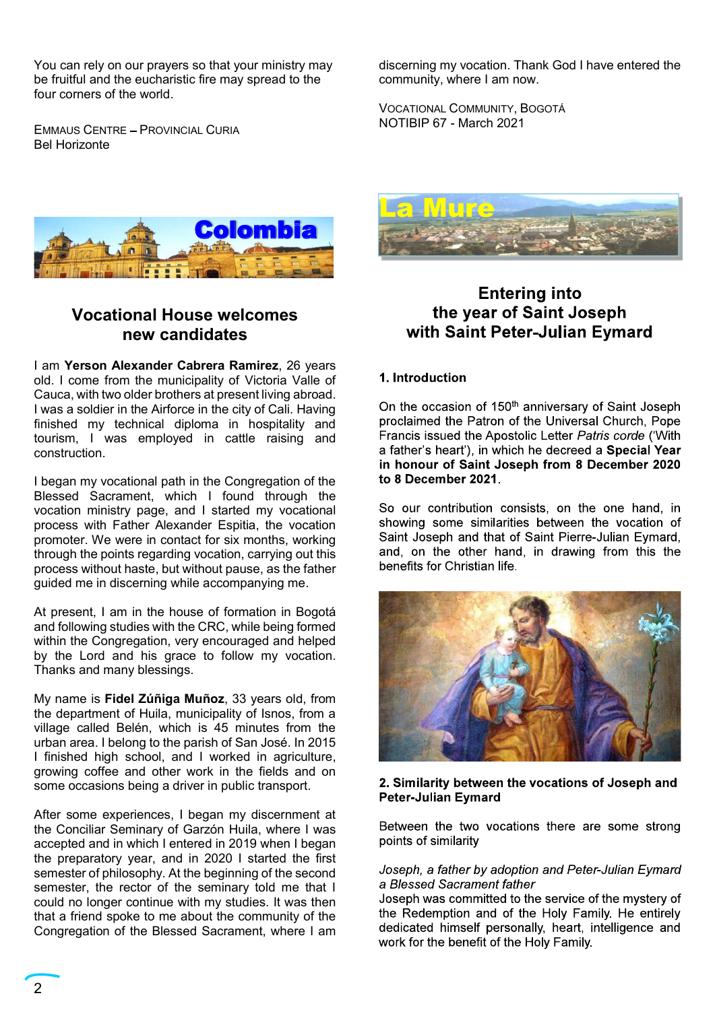You can rely on our prayers so that your ministry may<br>be fruitful and the eucharistic fire may spread to the community, where I am now.<br>four corners of the world.<br>EMMAUS CENTRE – PROVINCIAL CURIA<br>NOTIBIP 67 - March 2021 be fruitful and the eucharistic fire may spread to the four corners of the world.

EMMAUS CENTRE - PROVINCIAL CURIA Bel Horizonte

discerning my vocation. Thank God I have entered the<br>community, where I am now.<br>Vocational Community, Bogotá<br>NOTIBIP 67 - March 2021 community, where I am now. discerning my vocation. Thank God I have entered the<br>community, where I am now.<br>VOCATIONAL COMMUNITY, BOGOTÁ<br>NOTIBIP 67 - March 2021 discerning my vocation. Thank God I have entered the<br>community, where I am now.<br>VOCATIONAL COMMUNITY, BOGOTÁ<br>NOTIBIP 67 - March 2021



## new candidates

I am Yerson Alexander Cabrera Ramirez, 26 years<br>old Leome from the municipality of Victoria Valle of **1. Introduction** old. I come from the municipality of Victoria Valle of Cauca, with two older brothers at present living abroad.<br>I was a soldier in the Airforce in the city of Cali, Having Con the occasion of 150<sup>th</sup> anniversary of Saint Joseph I WOCATIONAL COMMUNITY, BOGOTA<br>
IN WOTIBIP 67 - March 2021<br>
Bel Horizonte<br>
Bel Horizonte<br>
I was a soldier in the Airforce in the city of Cali. Having<br>
I was a soldier in the Airforce in the city of Cali. Having<br>
I was a so EMMAUS CENTRE – PROVINGIAL CURIA<br>
MOTIBIP 67 - March 2021<br>
MOTIBIP 67 - March 2021<br>
MOTIBIP 67 - March 2021<br>
MOTIBIP 67 - March 2021<br>
MOTIBIP 67 - March 2021<br>
MOTIBIP 67 - March 2021<br>
MOTIBIP 67 - March 2021<br>
MOTIBIP 67 - EMMAUS CENTRE – PROVINCIAL CURIA<br> **EXERCISE COLOR IDEA**<br> **EXERCISE COLOR IDEA**<br> **EXERCISE COLOR IDEA**<br> **EXERCISE COLOR IDEA**<br> **EXERCISE COLOR IDEA**<br> **EXERCISE COLOR IDEA**<br> **EXERCISE COLOR IDEA**<br> **EXERCISE COLOR IDEA**<br>
COLO construction.

I began my vocational path in the Congregation of the to 8 December 2021. **Example 19 and Sacrament Controller Controller Sacrament (Sacrament Controller Sacrament Controller Sacrament Controller Sacrament Controller Sacrament Controller Controller Controller (Sacrament Controller Controller Con Example 19 and Columbia**<br>
Vocational House welcomes<br>
In Yocational House welcomes<br>
In Yocational House welcomes<br>
Detection ministry page, and is the correlation of the proof of Saint<br>
Uses a solder in the Airforce in the process with Father Alexander Espitia, the vocation<br>promoter We were in contact for six months, working Saint Joseph and that of Saint Pierre-Julian Eymard, promoter. We were in contact for six months, working Saint Joseph and that of Saint Pierre-Julian Eymard,<br>through the points regarding vocation, carrying out this and, on the other hand, in drawing from this the The method of the through the points regarding vocation and the points of the state of the state of the state of the state of Cause, with worder broughts and contents regarding contents of the method of the carrying out of process without haste, but without pause, as the father benefits for Christian life.<br>guided me in discerning while accompanying me. **Example 19 and States and States and States and States and States and States and States and I came for the municipality of Victoria Vale of 1. Introduction<br>I am Yerson Alexander Cabrera Ramirez, 26 years<br>clust a lower bo Vocational House welcomes** the year of Sai<br>
new candidates with Saint Peter-J<br>
I am Yerson Alexander Cabrera Ramirez, 26 years<br>
old. I come from the municipality of Victoria Valle of<br>
Catuca, with wolder brothers at pres I am **Yerson Alexander Cabrera Ramirez**, 26 years<br>
Cauca, with two older brothers at present living a broad.<br>
Cauca, with two older brothers at present living a broad.<br>
I was a soldier in the Airforce in the city of Cali. construction. a father's heart), in which into the same experience of Saint Jose I helioten Single, and I started my occation of Saint Jose Process with Father Alexander Esplita, the vocation showing some similaritive proc

and following studies with the CRC, while being formed within the Congregation, very encouraged and helped by the Lord and his grace to follow my vocation.

My name is Fidel Zúñiga Muñoz, 33 years old, from the department of Huila, municipality of Isnos, from a village called Belén, which is 45 minutes from the urban area. I belong to the parish of San José. In 2015 growing coffee and other work in the fields and on<br>some occasions being a driver in public transport **2. Similarity between the vocations of Joseph and** some occasions being a driver in public transport. **2. Similarity between**<br>Peter-Julian Evmard

After some experiences, I began my discernment at<br>the Conciliar Seminary of Garzón Huila, where I was Between the two vocations there are some strong the Conciliar Seminary of Garzón Huila, where I was Between the two<br>accepted and in which Lentered in 2019 when Lhegan points of similarity semester of philosophy. At the beginning of the second<br>semester the rector of the seminary told me that  $\frac{1}{2}$  a Blessed Sacrament father semester, the rector of the seminary told me that I a Blessed Sacrament father<br>could no longer continue with my studies It was then Joseph was committed to the service of the mystery of could no longer continue with my studies. It was then discrept was committed to the service of the mystery of<br>thet a friend spoke to me about the community of the student the Redemption and of the Holy Family. He entirely At present, I am in the house of formation in Bogotá<br>
and following studies with the CRC, while being formed<br>
awithin the Congregation, very encouraged and helped<br>
by the Lord and his grace to follow my vocation.<br>
Thanks a



# Vocational House welcomes<br>Mew candidates and with Saint Peter-Julian Evmard



Congregation of the Blessed Sacrament, where I am dedicated himself personally, heart, intelligence and work for the benefit of the Holy Family